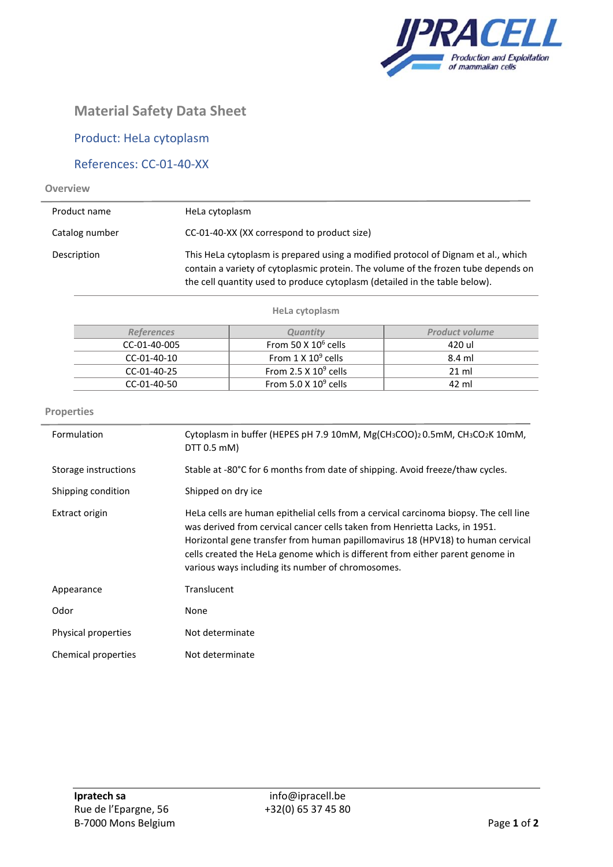

# **Material Safety Data Sheet**

## Product: HeLa cytoplasm

## References: CC-01-40-XX

#### **Overview**

L.

| Product name   | HeLa cytoplasm                                                                                                                                                                                                                                        |
|----------------|-------------------------------------------------------------------------------------------------------------------------------------------------------------------------------------------------------------------------------------------------------|
| Catalog number | CC-01-40-XX (XX correspond to product size)                                                                                                                                                                                                           |
| Description    | This HeLa cytoplasm is prepared using a modified protocol of Dignam et al., which<br>contain a variety of cytoplasmic protein. The volume of the frozen tube depends on<br>the cell quantity used to produce cytoplasm (detailed in the table below). |

#### **HeLa cytoplasm**

| <b>References</b> | <i><b>Ouantitv</b></i>       | <b>Product volume</b> |
|-------------------|------------------------------|-----------------------|
| CC-01-40-005      | From 50 X $10^6$ cells       | 420 ul                |
| CC-01-40-10       | From $1 \times 10^9$ cells   | 8.4 ml                |
| CC-01-40-25       | From 2.5 X $10^9$ cells      | $21 \text{ ml}$       |
| $CC-01-40-50$     | From $5.0 \times 10^9$ cells | 42 ml                 |

### **Properties**

| Formulation          | Cytoplasm in buffer (HEPES pH 7.9 10mM, Mg(CH3COO)2 0.5mM, CH3CO2K 10mM,<br>DTT 0.5 mM)                                                                                                                                                                                                                                                                                                       |
|----------------------|-----------------------------------------------------------------------------------------------------------------------------------------------------------------------------------------------------------------------------------------------------------------------------------------------------------------------------------------------------------------------------------------------|
| Storage instructions | Stable at -80°C for 6 months from date of shipping. Avoid freeze/thaw cycles.                                                                                                                                                                                                                                                                                                                 |
| Shipping condition   | Shipped on dry ice                                                                                                                                                                                                                                                                                                                                                                            |
| Extract origin       | HeLa cells are human epithelial cells from a cervical carcinoma biopsy. The cell line<br>was derived from cervical cancer cells taken from Henrietta Lacks, in 1951.<br>Horizontal gene transfer from human papillomavirus 18 (HPV18) to human cervical<br>cells created the HeLa genome which is different from either parent genome in<br>various ways including its number of chromosomes. |
| Appearance           | Translucent                                                                                                                                                                                                                                                                                                                                                                                   |
| Odor                 | None                                                                                                                                                                                                                                                                                                                                                                                          |
| Physical properties  | Not determinate                                                                                                                                                                                                                                                                                                                                                                               |
| Chemical properties  | Not determinate                                                                                                                                                                                                                                                                                                                                                                               |